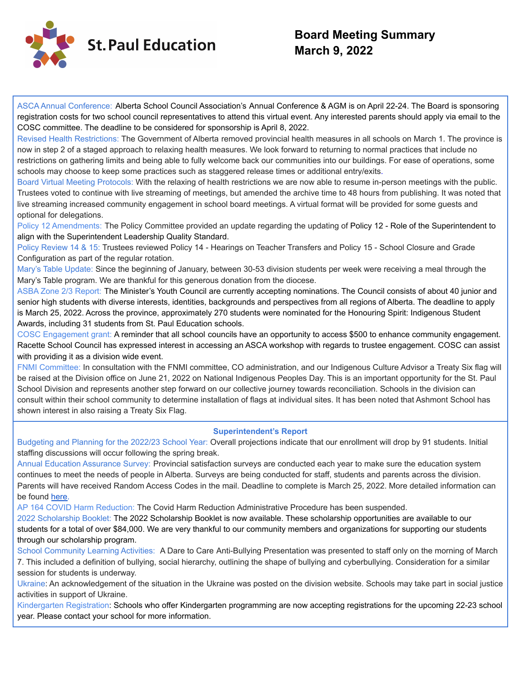

## **Board Meeting Summary March 9, 2022**

ASCA Annual Conference: Alberta School Council Association's Annual Conference & AGM is on April 22-24. The Board is sponsoring registration costs for two school council representatives to attend this virtual event. Any interested parents should apply via email to the COSC committee. The deadline to be considered for sponsorship is April 8, 2022.

Revised Health Restrictions: The Government of Alberta removed provincial health measures in all schools on March 1. The province is now in step 2 of a staged approach to relaxing health measures. We look forward to returning to normal practices that include no restrictions on gathering limits and being able to fully welcome back our communities into our buildings. For ease of operations, some schools may choose to keep some practices such as staggered release times or additional entry/exits.

Board Virtual Meeting Protocols: With the relaxing of health restrictions we are now able to resume in-person meetings with the public. Trustees voted to continue with live streaming of meetings, but amended the archive time to 48 hours from publishing. It was noted that live streaming increased community engagement in school board meetings. A virtual format will be provided for some guests and optional for delegations.

Policy 12 Amendments: The Policy Committee provided an update regarding the updating of Policy 12 - Role of the Superintendent to align with the Superintendent Leadership Quality Standard.

Policy Review 14 & 15: Trustees reviewed Policy 14 - Hearings on Teacher Transfers and Policy 15 - School Closure and Grade Configuration as part of the regular rotation.

Mary's Table Update: Since the beginning of January, between 30-53 division students per week were receiving a meal through the Mary's Table program. We are thankful for this generous donation from the diocese.

ASBA Zone 2/3 Report: The Minister's Youth Council are currently accepting nominations. The Council consists of about 40 junior and senior high students with diverse interests, identities, backgrounds and perspectives from all regions of Alberta. The deadline to apply is March 25, 2022. Across the province, approximately 270 students were nominated for the Honouring Spirit: Indigenous Student Awards, including 31 students from St. Paul Education schools.

COSC Engagement grant: A reminder that all school councils have an opportunity to access \$500 to enhance community engagement. Racette School Council has expressed interest in accessing an ASCA workshop with regards to trustee engagement. COSC can assist with providing it as a division wide event.

FNMI Committee: In consultation with the FNMI committee, CO administration, and our Indigenous Culture Advisor a Treaty Six flag will be raised at the Division office on June 21, 2022 on National Indigenous Peoples Day. This is an important opportunity for the St. Paul School Division and represents another step forward on our collective journey towards reconciliation. Schools in the division can consult within their school community to determine installation of flags at individual sites. It has been noted that Ashmont School has shown interest in also raising a Treaty Six Flag.

## **Superintendent's Report**

Budgeting and Planning for the 2022/23 School Year: Overall projections indicate that our enrollment will drop by 91 students. Initial staffing discussions will occur following the spring break.

Annual Education Assurance Survey: Provincial satisfaction surveys are conducted each year to make sure the education system continues to meet the needs of people in Alberta. Surveys are being conducted for staff, students and parents across the division. Parents will have received Random Access Codes in the mail. Deadline to complete is March 25, 2022. More detailed information can be found [here.](https://www.alberta.ca/education-provincial-satisfaction-surveys.aspx#jumplinks-1)

AP 164 COVID Harm Reduction: The Covid Harm Reduction Administrative Procedure has been suspended.

2022 Scholarship Booklet: The 2022 Scholarship Booklet is now available. These scholarship opportunities are available to our students for a total of over \$84,000. We are very thankful to our community members and organizations for supporting our students through our scholarship program.

School Community Learning Activities: A Dare to Care Anti-Bullying Presentation was presented to staff only on the morning of March 7. This included a definition of bullying, social hierarchy, outlining the shape of bullying and cyberbullying. Consideration for a similar session for students is underway.

Ukraine: An acknowledgement of the situation in the Ukraine was posted on the division website. Schools may take part in social justice activities in support of Ukraine.

Kindergarten Registration: Schools who offer Kindergarten programming are now accepting registrations for the upcoming 22-23 school year. Please contact your school for more information.